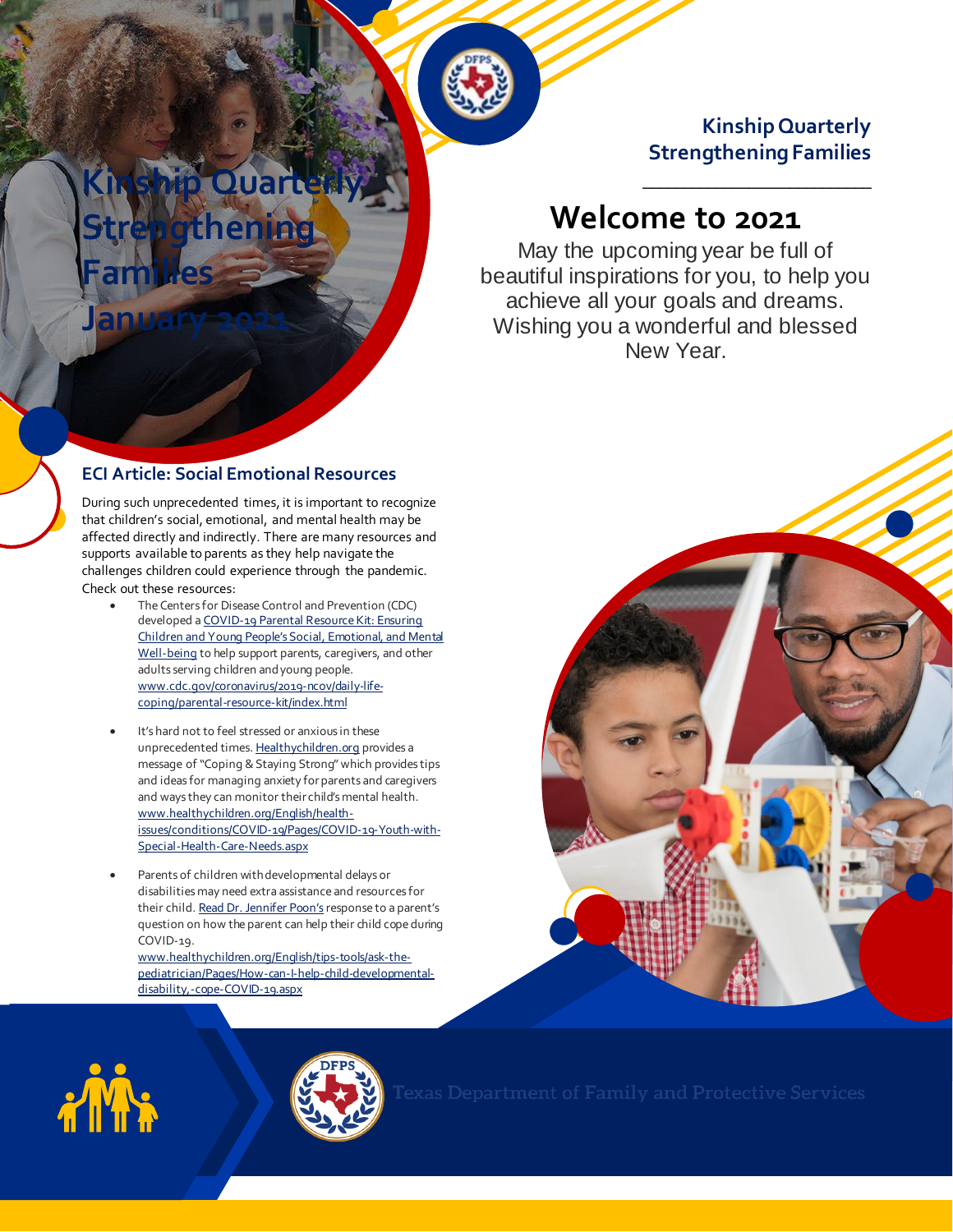### **Kinship Quarterly Strengthening Families**

\_\_\_\_\_\_\_\_\_\_\_\_\_\_\_\_\_\_\_\_\_\_\_\_\_\_\_\_

# **Welcome to 2021**

May the upcoming year be full of beautiful inspirations for you, to help you achieve all your goals and dreams. Wishing you a wonderful and blessed New Year.

### **ECI Article: Social Emotional Resources**

**Strengthening** 

**Kinship Quarterly**

**ASSOCIATION ASSOCIATE** 

**January 2021** 

**Families**

During such unprecedented times, it is important to recognize that children's social, emotional, and mental health may be affected directly and indirectly. There are many resources and supports available to parents as they help navigate the challenges children could experience through the pandemic. Check out these resources:

- The Centers for Disease Control and Prevention (CDC) developed [a COVID-19 Parental Resource Kit: Ensuring](https://www.cdc.gov/coronavirus/2019-ncov/daily-life-coping/parental-resource-kit/index.html)  [Children and Young People's Social, Emotional, and Men](https://www.cdc.gov/coronavirus/2019-ncov/daily-life-coping/parental-resource-kit/index.html)tal [Well-being](https://www.cdc.gov/coronavirus/2019-ncov/daily-life-coping/parental-resource-kit/index.html) to help support parents, caregivers, and other adults serving children and young people. [www.cdc.gov/coronavirus/2019-ncov/daily-life](http://www.cdc.gov/coronavirus/2019-ncov/daily-life-coping/parental-resource-kit/index.html)[coping/parental-resource-kit/index.html](http://www.cdc.gov/coronavirus/2019-ncov/daily-life-coping/parental-resource-kit/index.html)
- It's hard not to feel stressed or anxious in these unprecedented time[s. Healthychildren.org](https://www.healthychildren.org/English/health-issues/conditions/COVID-19/Pages/COVID-19-Youth-with-Special-Health-Care-Needs.aspx) provides a message of "Coping & Staying Strong" which provides tips and ideas for managing anxiety for parents and caregivers and ways they can monitor their child's mental health. [www.healthychildren.org/English/health](http://www.healthychildren.org/English/health-issues/conditions/COVID-19/Pages/COVID-19-Youth-with-Special-Health-Care-Needs.aspx)[issues/conditions/COVID-19/Pages/COVID-19-Youth-with-](http://www.healthychildren.org/English/health-issues/conditions/COVID-19/Pages/COVID-19-Youth-with-Special-Health-Care-Needs.aspx)[Special-Health-Care-Needs.aspx](http://www.healthychildren.org/English/health-issues/conditions/COVID-19/Pages/COVID-19-Youth-with-Special-Health-Care-Needs.aspx)
- Parents of children with developmental delays or disabilities may need extra assistance and resources for their child. [Read Dr. Jennifer Poon's](https://www.healthychildren.org/English/tips-tools/ask-the-pediatrician/Pages/How-can-I-help-child-developmental-disability,-cope-COVID-19.aspx) response to a parent's question on how the parent can help their child cope during COVID-19.

[www.healthychildren.org/English/tips-tools/ask-the](http://www.healthychildren.org/English/tips-tools/ask-the-pediatrician/Pages/How-can-I-help-child-developmental-disability,-cope-COVID-19.aspx)[pediatrician/Pages/How-can-I-help-child-developmental](http://www.healthychildren.org/English/tips-tools/ask-the-pediatrician/Pages/How-can-I-help-child-developmental-disability,-cope-COVID-19.aspx)[disability,-cope-COVID-19.aspx](http://www.healthychildren.org/English/tips-tools/ask-the-pediatrician/Pages/How-can-I-help-child-developmental-disability,-cope-COVID-19.aspx)